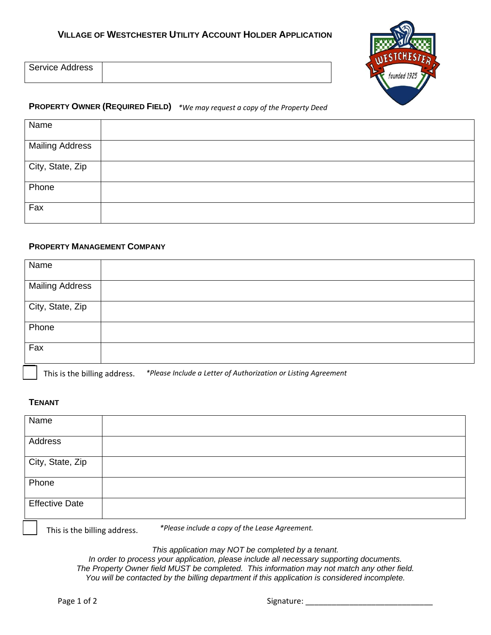

| <b>Service Address</b> |  |
|------------------------|--|
|                        |  |

## **PROPERTY OWNER (REQUIRED FIELD)** *\*We may request a copy of the Property Deed*

| Name                   |  |
|------------------------|--|
| <b>Mailing Address</b> |  |
| City, State, Zip       |  |
| Phone                  |  |
| Fax                    |  |

## **PROPERTY MANAGEMENT COMPANY**

| Name                   |                                   |
|------------------------|-----------------------------------|
| <b>Mailing Address</b> |                                   |
| City, State, Zip       |                                   |
| Phone                  |                                   |
| Fax                    |                                   |
|                        | the company's company's company's |

This is the billing address. *\*Please Include a Letter of Authorization or Listing Agreement*

## **TENANT**

| Name                  |                                                                                                                                                                                                                               |
|-----------------------|-------------------------------------------------------------------------------------------------------------------------------------------------------------------------------------------------------------------------------|
| Address               |                                                                                                                                                                                                                               |
| City, State, Zip      |                                                                                                                                                                                                                               |
| Phone                 |                                                                                                                                                                                                                               |
| <b>Effective Date</b> |                                                                                                                                                                                                                               |
|                       | where the contract of the contract of the contract of the contract of the contract of the contract of the contract of the contract of the contract of the contract of the contract of the contract of the contract of the con |

This is the billing address.

*\*Please include a copy of the Lease Agreement.*

*This application may NOT be completed by a tenant.*

*In order to process your application, please include all necessary supporting documents. The Property Owner field MUST be completed. This information may not match any other field. You will be contacted by the billing department if this application is considered incomplete.*

Page 1 of 2 Signature: \_\_\_\_\_\_\_\_\_\_\_\_\_\_\_\_\_\_\_\_\_\_\_\_\_\_\_\_\_